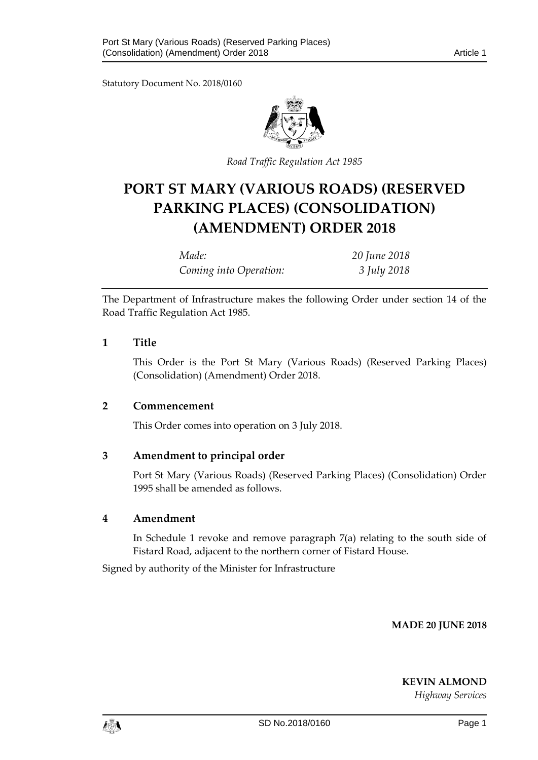Statutory Document No. 2018/0160



*Road Traffic Regulation Act 1985*

# **PORT ST MARY (VARIOUS ROADS) (RESERVED PARKING PLACES) (CONSOLIDATION) (AMENDMENT) ORDER 2018**

*Made: 20 June 2018 Coming into Operation: 3 July 2018*

The Department of Infrastructure makes the following Order under section 14 of the Road Traffic Regulation Act 1985.

### **1 Title**

This Order is the Port St Mary (Various Roads) (Reserved Parking Places) (Consolidation) (Amendment) Order 2018.

### **2 Commencement**

This Order comes into operation on 3 July 2018.

### **3 Amendment to principal order**

Port St Mary (Various Roads) (Reserved Parking Places) (Consolidation) Order 1995 shall be amended as follows.

#### **4 Amendment**

In Schedule 1 revoke and remove paragraph 7(a) relating to the south side of Fistard Road, adjacent to the northern corner of Fistard House.

Signed by authority of the Minister for Infrastructure

**MADE 20 JUNE 2018**

**KEVIN ALMOND** *Highway Services*